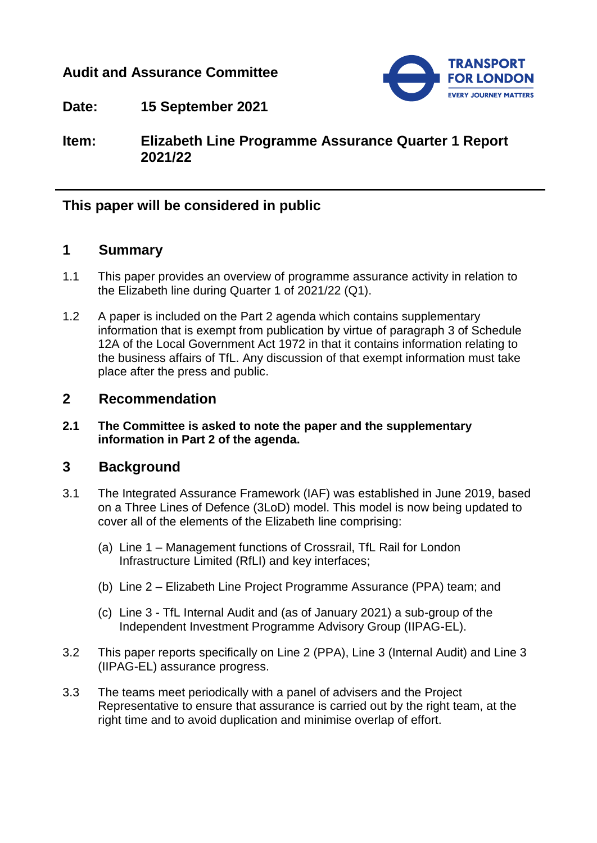## **Audit and Assurance Committee**



**Date: 15 September 2021**

**Item: Elizabeth Line Programme Assurance Quarter 1 Report 2021/22**

## **This paper will be considered in public**

## **1 Summary**

- 1.1 This paper provides an overview of programme assurance activity in relation to the Elizabeth line during Quarter 1 of 2021/22 (Q1).
- 1.2 A paper is included on the Part 2 agenda which contains supplementary information that is exempt from publication by virtue of paragraph 3 of Schedule 12A of the Local Government Act 1972 in that it contains information relating to the business affairs of TfL. Any discussion of that exempt information must take place after the press and public.

### **2 Recommendation**

**2.1 The Committee is asked to note the paper and the supplementary information in Part 2 of the agenda.**

## **3 Background**

- 3.1 The Integrated Assurance Framework (IAF) was established in June 2019, based on a Three Lines of Defence (3LoD) model. This model is now being updated to cover all of the elements of the Elizabeth line comprising:
	- (a) Line 1 Management functions of Crossrail, TfL Rail for London Infrastructure Limited (RfLI) and key interfaces;
	- (b) Line 2 Elizabeth Line Project Programme Assurance (PPA) team; and
	- (c) Line 3 TfL Internal Audit and (as of January 2021) a sub-group of the Independent Investment Programme Advisory Group (IIPAG-EL).
- 3.2 This paper reports specifically on Line 2 (PPA), Line 3 (Internal Audit) and Line 3 (IIPAG-EL) assurance progress.
- 3.3 The teams meet periodically with a panel of advisers and the Project Representative to ensure that assurance is carried out by the right team, at the right time and to avoid duplication and minimise overlap of effort.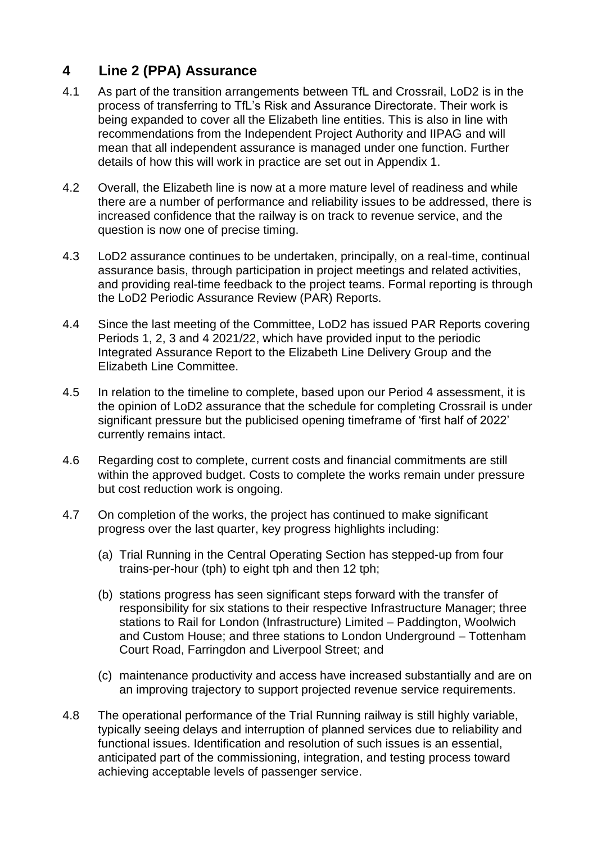# **4 Line 2 (PPA) Assurance**

- 4.1 As part of the transition arrangements between TfL and Crossrail, LoD2 is in the process of transferring to TfL's Risk and Assurance Directorate. Their work is being expanded to cover all the Elizabeth line entities. This is also in line with recommendations from the Independent Project Authority and IIPAG and will mean that all independent assurance is managed under one function. Further details of how this will work in practice are set out in Appendix 1.
- 4.2 Overall, the Elizabeth line is now at a more mature level of readiness and while there are a number of performance and reliability issues to be addressed, there is increased confidence that the railway is on track to revenue service, and the question is now one of precise timing.
- 4.3 LoD2 assurance continues to be undertaken, principally, on a real-time, continual assurance basis, through participation in project meetings and related activities, and providing real-time feedback to the project teams. Formal reporting is through the LoD2 Periodic Assurance Review (PAR) Reports.
- 4.4 Since the last meeting of the Committee, LoD2 has issued PAR Reports covering Periods 1, 2, 3 and 4 2021/22, which have provided input to the periodic Integrated Assurance Report to the Elizabeth Line Delivery Group and the Elizabeth Line Committee.
- 4.5 In relation to the timeline to complete, based upon our Period 4 assessment, it is the opinion of LoD2 assurance that the schedule for completing Crossrail is under significant pressure but the publicised opening timeframe of 'first half of 2022' currently remains intact.
- 4.6 Regarding cost to complete, current costs and financial commitments are still within the approved budget. Costs to complete the works remain under pressure but cost reduction work is ongoing.
- 4.7 On completion of the works, the project has continued to make significant progress over the last quarter, key progress highlights including:
	- (a) Trial Running in the Central Operating Section has stepped-up from four trains-per-hour (tph) to eight tph and then 12 tph;
	- (b) stations progress has seen significant steps forward with the transfer of responsibility for six stations to their respective Infrastructure Manager; three stations to Rail for London (Infrastructure) Limited – Paddington, Woolwich and Custom House; and three stations to London Underground – Tottenham Court Road, Farringdon and Liverpool Street; and
	- (c) maintenance productivity and access have increased substantially and are on an improving trajectory to support projected revenue service requirements.
- 4.8 The operational performance of the Trial Running railway is still highly variable, typically seeing delays and interruption of planned services due to reliability and functional issues. Identification and resolution of such issues is an essential, anticipated part of the commissioning, integration, and testing process toward achieving acceptable levels of passenger service.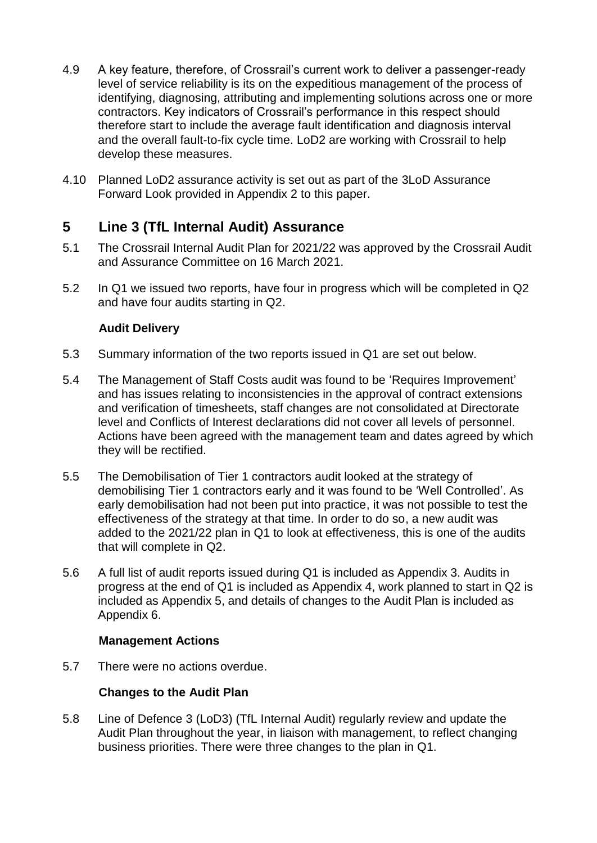- 4.9 A key feature, therefore, of Crossrail's current work to deliver a passenger-ready level of service reliability is its on the expeditious management of the process of identifying, diagnosing, attributing and implementing solutions across one or more contractors. Key indicators of Crossrail's performance in this respect should therefore start to include the average fault identification and diagnosis interval and the overall fault-to-fix cycle time. LoD2 are working with Crossrail to help develop these measures.
- 4.10 Planned LoD2 assurance activity is set out as part of the 3LoD Assurance Forward Look provided in Appendix 2 to this paper.

## **5 Line 3 (TfL Internal Audit) Assurance**

- 5.1 The Crossrail Internal Audit Plan for 2021/22 was approved by the Crossrail Audit and Assurance Committee on 16 March 2021.
- 5.2 In Q1 we issued two reports, have four in progress which will be completed in Q2 and have four audits starting in Q2.

#### **Audit Delivery**

- 5.3 Summary information of the two reports issued in Q1 are set out below.
- 5.4 The Management of Staff Costs audit was found to be 'Requires Improvement' and has issues relating to inconsistencies in the approval of contract extensions and verification of timesheets, staff changes are not consolidated at Directorate level and Conflicts of Interest declarations did not cover all levels of personnel. Actions have been agreed with the management team and dates agreed by which they will be rectified.
- 5.5 The Demobilisation of Tier 1 contractors audit looked at the strategy of demobilising Tier 1 contractors early and it was found to be 'Well Controlled'. As early demobilisation had not been put into practice, it was not possible to test the effectiveness of the strategy at that time. In order to do so, a new audit was added to the 2021/22 plan in Q1 to look at effectiveness, this is one of the audits that will complete in Q2.
- 5.6 A full list of audit reports issued during Q1 is included as Appendix 3. Audits in progress at the end of Q1 is included as Appendix 4, work planned to start in Q2 is included as Appendix 5, and details of changes to the Audit Plan is included as Appendix 6.

#### **Management Actions**

5.7 There were no actions overdue.

#### **Changes to the Audit Plan**

5.8 Line of Defence 3 (LoD3) (TfL Internal Audit) regularly review and update the Audit Plan throughout the year, in liaison with management, to reflect changing business priorities. There were three changes to the plan in Q1.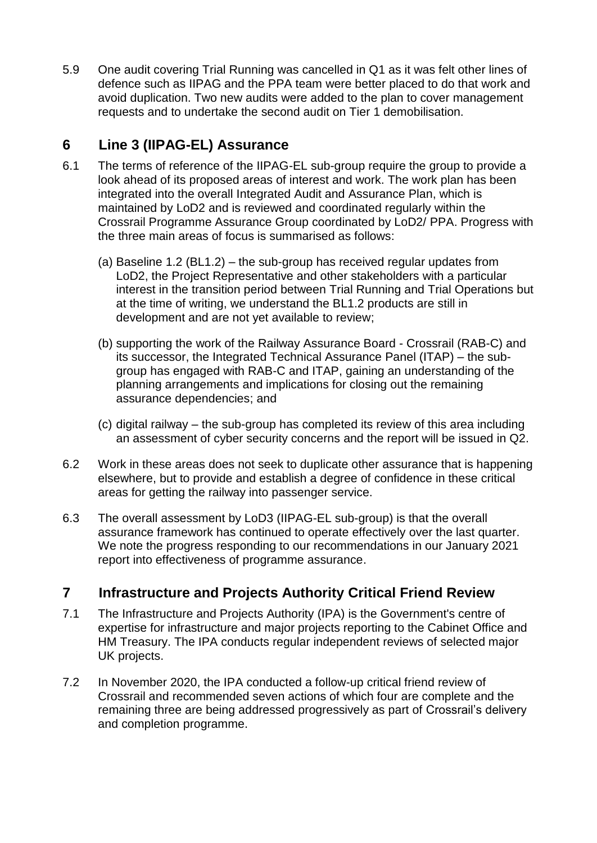5.9 One audit covering Trial Running was cancelled in Q1 as it was felt other lines of defence such as IIPAG and the PPA team were better placed to do that work and avoid duplication. Two new audits were added to the plan to cover management requests and to undertake the second audit on Tier 1 demobilisation.

# **6 Line 3 (IIPAG-EL) Assurance**

- 6.1 The terms of reference of the IIPAG-EL sub-group require the group to provide a look ahead of its proposed areas of interest and work. The work plan has been integrated into the overall Integrated Audit and Assurance Plan, which is maintained by LoD2 and is reviewed and coordinated regularly within the Crossrail Programme Assurance Group coordinated by LoD2/ PPA. Progress with the three main areas of focus is summarised as follows:
	- (a) Baseline 1.2 (BL1.2) the sub-group has received regular updates from LoD2, the Project Representative and other stakeholders with a particular interest in the transition period between Trial Running and Trial Operations but at the time of writing, we understand the BL1.2 products are still in development and are not yet available to review;
	- (b) supporting the work of the Railway Assurance Board Crossrail (RAB-C) and its successor, the Integrated Technical Assurance Panel (ITAP) – the subgroup has engaged with RAB-C and ITAP, gaining an understanding of the planning arrangements and implications for closing out the remaining assurance dependencies; and
	- (c) digital railway the sub-group has completed its review of this area including an assessment of cyber security concerns and the report will be issued in Q2.
- 6.2 Work in these areas does not seek to duplicate other assurance that is happening elsewhere, but to provide and establish a degree of confidence in these critical areas for getting the railway into passenger service.
- 6.3 The overall assessment by LoD3 (IIPAG-EL sub-group) is that the overall assurance framework has continued to operate effectively over the last quarter. We note the progress responding to our recommendations in our January 2021 report into effectiveness of programme assurance.

# **7 Infrastructure and Projects Authority Critical Friend Review**

- 7.1 The Infrastructure and Projects Authority (IPA) is the Government's centre of expertise for infrastructure and major projects reporting to the Cabinet Office and HM Treasury. The IPA conducts regular independent reviews of selected major UK projects.
- 7.2 In November 2020, the IPA conducted a follow-up critical friend review of Crossrail and recommended seven actions of which four are complete and the remaining three are being addressed progressively as part of Crossrail's delivery and completion programme.